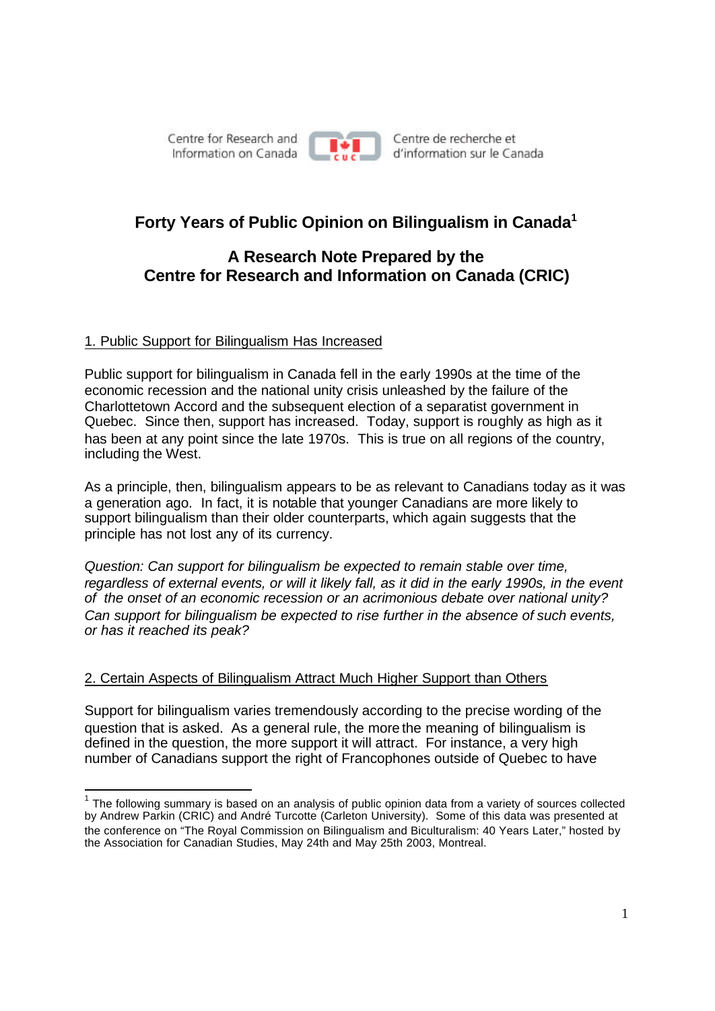Centre for Research and Information on Canada



Centre de recherche et d'information sur le Canada

# **Forty Years of Public Opinion on Bilingualism in Canada<sup>1</sup>**

# **A Research Note Prepared by the Centre for Research and Information on Canada (CRIC)**

## 1. Public Support for Bilingualism Has Increased

Public support for bilingualism in Canada fell in the early 1990s at the time of the economic recession and the national unity crisis unleashed by the failure of the Charlottetown Accord and the subsequent election of a separatist government in Quebec. Since then, support has increased. Today, support is roughly as high as it has been at any point since the late 1970s. This is true on all regions of the country, including the West.

As a principle, then, bilingualism appears to be as relevant to Canadians today as it was a generation ago. In fact, it is notable that younger Canadians are more likely to support bilingualism than their older counterparts, which again suggests that the principle has not lost any of its currency.

*Question: Can support for bilingualism be expected to remain stable over time, regardless of external events, or will it likely fall, as it did in the early 1990s, in the event of the onset of an economic recession or an acrimonious debate over national unity? Can support for bilingualism be expected to rise further in the absence of such events, or has it reached its peak?*

## 2. Certain Aspects of Bilingualism Attract Much Higher Support than Others

Support for bilingualism varies tremendously according to the precise wording of the question that is asked. As a general rule, the more the meaning of bilingualism is defined in the question, the more support it will attract. For instance, a very high number of Canadians support the right of Francophones outside of Quebec to have

  $1$  The following summary is based on an analysis of public opinion data from a variety of sources collected by Andrew Parkin (CRIC) and André Turcotte (Carleton University). Some of this data was presented at the conference on "The Royal Commission on Bilingualism and Biculturalism: 40 Years Later," hosted by the Association for Canadian Studies, May 24th and May 25th 2003, Montreal.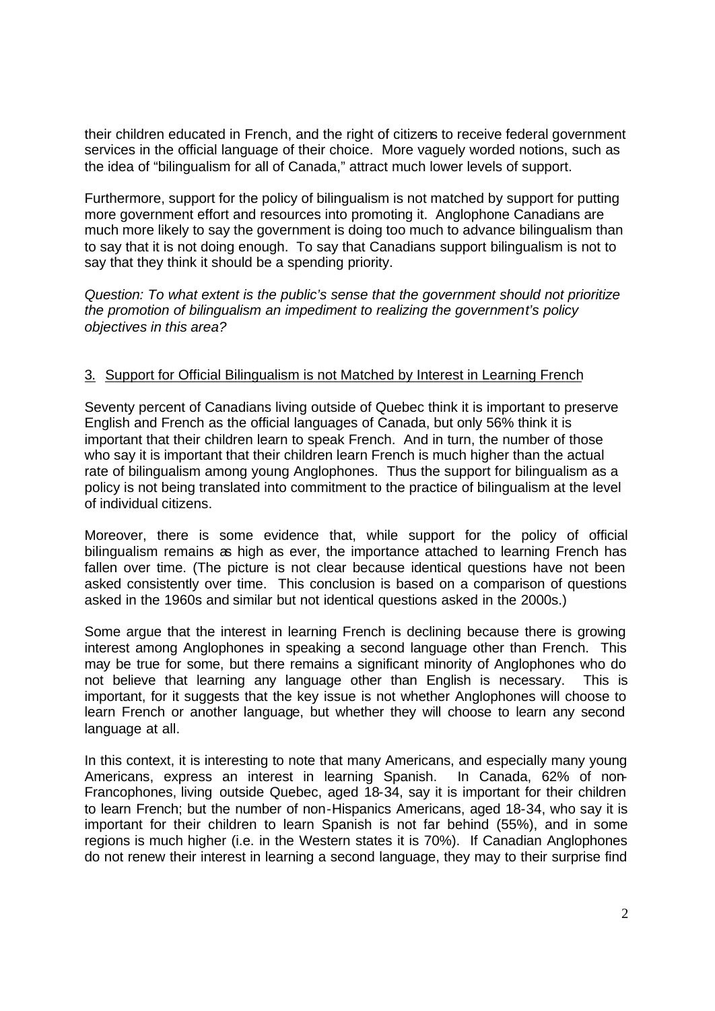their children educated in French, and the right of citizens to receive federal government services in the official language of their choice. More vaguely worded notions, such as the idea of "bilingualism for all of Canada," attract much lower levels of support.

Furthermore, support for the policy of bilingualism is not matched by support for putting more government effort and resources into promoting it. Anglophone Canadians are much more likely to say the government is doing too much to advance bilingualism than to say that it is not doing enough. To say that Canadians support bilingualism is not to say that they think it should be a spending priority.

*Question: To what extent is the public's sense that the government should not prioritize the promotion of bilingualism an impediment to realizing the government's policy objectives in this area?*

### 3. Support for Official Bilingualism is not Matched by Interest in Learning French

Seventy percent of Canadians living outside of Quebec think it is important to preserve English and French as the official languages of Canada, but only 56% think it is important that their children learn to speak French. And in turn, the number of those who say it is important that their children learn French is much higher than the actual rate of bilingualism among young Anglophones. Thus the support for bilingualism as a policy is not being translated into commitment to the practice of bilingualism at the level of individual citizens.

Moreover, there is some evidence that, while support for the policy of official bilingualism remains as high as ever, the importance attached to learning French has fallen over time. (The picture is not clear because identical questions have not been asked consistently over time. This conclusion is based on a comparison of questions asked in the 1960s and similar but not identical questions asked in the 2000s.)

Some argue that the interest in learning French is declining because there is growing interest among Anglophones in speaking a second language other than French. This may be true for some, but there remains a significant minority of Anglophones who do not believe that learning any language other than English is necessary. This is important, for it suggests that the key issue is not whether Anglophones will choose to learn French or another language, but whether they will choose to learn any second language at all.

In this context, it is interesting to note that many Americans, and especially many young Americans, express an interest in learning Spanish. In Canada, 62% of non-Francophones, living outside Quebec, aged 18-34, say it is important for their children to learn French; but the number of non-Hispanics Americans, aged 18-34, who say it is important for their children to learn Spanish is not far behind (55%), and in some regions is much higher (i.e. in the Western states it is 70%). If Canadian Anglophones do not renew their interest in learning a second language, they may to their surprise find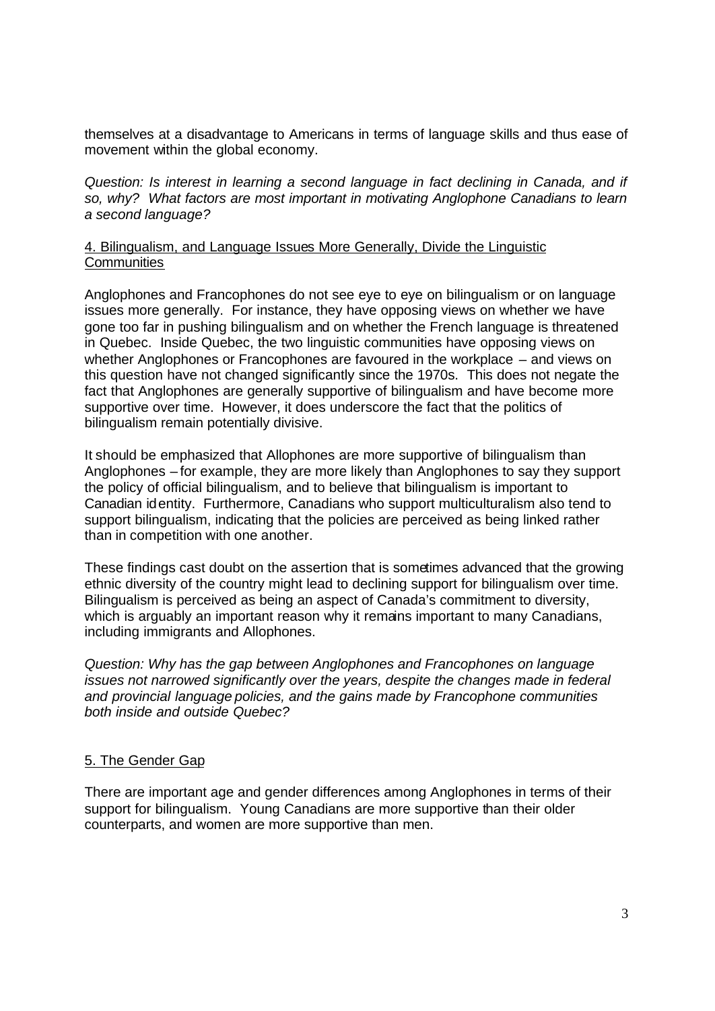themselves at a disadvantage to Americans in terms of language skills and thus ease of movement within the global economy.

*Question: Is interest in learning a second language in fact declining in Canada, and if so, why? What factors are most important in motivating Anglophone Canadians to learn a second language?*

#### 4. Bilingualism, and Language Issues More Generally, Divide the Linguistic **Communities**

Anglophones and Francophones do not see eye to eye on bilingualism or on language issues more generally. For instance, they have opposing views on whether we have gone too far in pushing bilingualism and on whether the French language is threatened in Quebec. Inside Quebec, the two linguistic communities have opposing views on whether Anglophones or Francophones are favoured in the workplace – and views on this question have not changed significantly since the 1970s. This does not negate the fact that Anglophones are generally supportive of bilingualism and have become more supportive over time. However, it does underscore the fact that the politics of bilingualism remain potentially divisive.

It should be emphasized that Allophones are more supportive of bilingualism than Anglophones – for example, they are more likely than Anglophones to say they support the policy of official bilingualism, and to believe that bilingualism is important to Canadian identity. Furthermore, Canadians who support multiculturalism also tend to support bilingualism, indicating that the policies are perceived as being linked rather than in competition with one another.

These findings cast doubt on the assertion that is sometimes advanced that the growing ethnic diversity of the country might lead to declining support for bilingualism over time. Bilingualism is perceived as being an aspect of Canada's commitment to diversity, which is arguably an important reason why it remains important to many Canadians, including immigrants and Allophones.

*Question: Why has the gap between Anglophones and Francophones on language issues not narrowed significantly over the years, despite the changes made in federal and provincial language policies, and the gains made by Francophone communities both inside and outside Quebec?*

#### 5. The Gender Gap

There are important age and gender differences among Anglophones in terms of their support for bilingualism. Young Canadians are more supportive than their older counterparts, and women are more supportive than men.